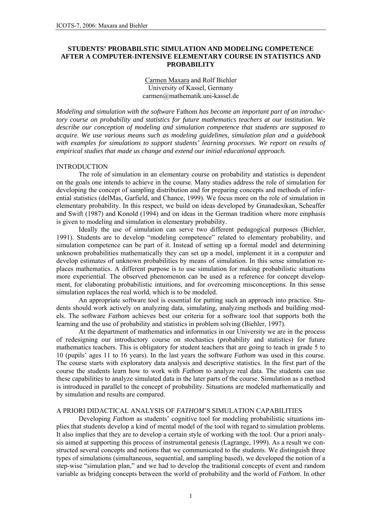# **STUDENTS' PROBABILSTIC SIMULATION AND MODELING COMPETENCE AFTER A COMPUTER-INTENSIVE ELEMENTARY COURSE IN STATISTICS AND PROBABILITY**

## Carmen Maxara and Rolf Biehler University of Kassel, Germany carmen@mathematik.uni-kassel.de

*Modeling and simulation with the software* Fathom *has become an important part of an introductory course on probability and statistics for future mathematics teachers at our institution. We describe our conception of modeling and simulation competence that students are supposed to acquire. We use various means such as modeling guidelines, simulation plan and a guidebook with examples for simulations to support students' learning processes. We report on results of empirical studies that made us change and extend our initial educational approach.* 

### **INTRODUCTION**

The role of simulation in an elementary course on probability and statistics is dependent on the goals one intends to achieve in the course. Many studies address the role of simulation for developing the concept of sampling distribution and for preparing concepts and methods of inferential statistics (delMas, Garfield, and Chance, 1999). We focus more on the role of simulation in elementary probability. In this respect, we build on ideas developed by Gnanadesikan, Scheaffer and Swift (1987) and Konold (1994) and on ideas in the German tradition where more emphasis is given to modeling and simulation in elementary probability.

Ideally the use of simulation can serve two different pedagogical purposes (Biehler, 1991). Students are to develop "modeling competence" related to elementary probability, and simulation competence can be part of it. Instead of setting up a formal model and determining unknown probabilities mathematically they can set up a model, implement it in a computer and develop estimates of unknown probabilities by means of simulation. In this sense simulation replaces mathematics. A different purpose is to use simulation for making probabilistic situations more experiential. The observed phenomenon can be used as a reference for concept development, for elaborating probabilistic intuitions, and for overcoming misconceptions. In this sense simulation replaces the real world, which is to be modeled.

An appropriate software tool is essential for putting such an approach into practice. Students should work actively on analyzing data, simulating, analyzing methods and building models. The software *Fathom* achieves best our criteria for a software tool that supports both the learning and the use of probability and statistics in problem solving (Biehler, 1997).

 At the department of mathematics and informatics in our University we are in the process of redesigning our introductory course on stochastics (probability and statistics) for future mathematics teachers. This is obligatory for student teachers that are going to teach in grade 5 to 10 (pupils' ages 11 to 16 years). In the last years the software *Fathom* was used in this course. The course starts with exploratory data analysis and descriptive statistics. In the first part of the course the students learn how to work with *Fathom* to analyze real data. The students can use these capabilities to analyze simulated data in the later parts of the course. Simulation as a method is introduced in parallel to the concept of probability. Situations are modeled mathematically and by simulation and results are compared.

# A PRIORI DIDACTICAL ANALYSIS OF *FATHOM*'S SIMULATION CAPABILITIES

Developing *Fathom* as students' cognitive tool for modeling probabilistic situations implies that students develop a kind of mental model of the tool with regard to simulation problems. It also implies that they are to develop a certain style of working with the tool. Our a priori analysis aimed at supporting this process of instrumental genesis (Lagrange, 1999). As a result we constructed several concepts and notions that we communicated to the students. We distinguish three types of simulations (simultaneous, sequential, and sampling based), we developed the notion of a step-wise "simulation plan," and we had to develop the traditional concepts of event and random variable as bridging concepts between the world of probability and the world of *Fathom*. In other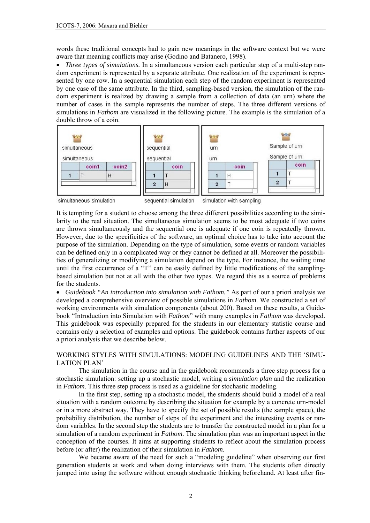words these traditional concepts had to gain new meanings in the software context but we were aware that meaning conflicts may arise (Godino and Batanero, 1998).

• *Three types of simulations*. In a simultaneous version each particular step of a multi-step random experiment is represented by a separate attribute. One realization of the experiment is represented by one row. In a sequential simulation each step of the random experiment is represented by one case of the same attribute. In the third, sampling-based version, the simulation of the random experiment is realized by drawing a sample from a collection of data (an urn) where the number of cases in the sample represents the number of steps. The three different versions of simulations in *Fathom* are visualized in the following picture. The example is the simulation of a double throw of a coin.



It is tempting for a student to choose among the three different possibilities according to the similarity to the real situation. The simultaneous simulation seems to be most adequate if two coins are thrown simultaneously and the sequential one is adequate if one coin is repeatedly thrown. However, due to the specificities of the software, an optimal choice has to take into account the purpose of the simulation. Depending on the type of simulation, some events or random variables can be defined only in a complicated way or they cannot be defined at all. Moreover the possibilities of generalizing or modifying a simulation depend on the type. For instance, the waiting time until the first occurrence of a "T" can be easily defined by little modifications of the samplingbased simulation but not at all with the other two types. We regard this as a source of problems for the students.

• *Guidebook "An introduction into simulation with Fathom."* As part of our a priori analysis we developed a comprehensive overview of possible simulations in *Fathom*. We constructed a set of working environments with simulation components (about 200). Based on these results, a Guidebook "Introduction into Simulation with *Fathom*" with many examples in *Fathom* was developed. This guidebook was especially prepared for the students in our elementary statistic course and contains only a selection of examples and options. The guidebook contains further aspects of our a priori analysis that we describe below.

# WORKING STYLES WITH SIMULATIONS: MODELING GUIDELINES AND THE 'SIMU-LATION PLAN'

The simulation in the course and in the guidebook recommends a three step process for a stochastic simulation: setting up a stochastic model, writing a *simulation plan* and the realization in *Fathom*. This three step process is used as a guideline for stochastic modeling.

In the first step, setting up a stochastic model, the students should build a model of a real situation with a random outcome by describing the situation for example by a concrete urn-model or in a more abstract way. They have to specify the set of possible results (the sample space), the probability distribution, the number of steps of the experiment and the interesting events or random variables. In the second step the students are to transfer the constructed model in a plan for a simulation of a random experiment in *Fathom*. The simulation plan was an important aspect in the conception of the courses. It aims at supporting students to reflect about the simulation process before (or after) the realization of their simulation in *Fathom*.

We became aware of the need for such a "modeling guideline" when observing our first generation students at work and when doing interviews with them. The students often directly jumped into using the software without enough stochastic thinking beforehand. At least after fin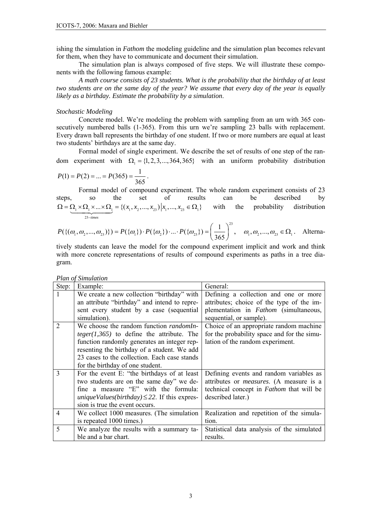ishing the simulation in *Fathom* the modeling guideline and the simulation plan becomes relevant for them, when they have to communicate and document their simulation.

The simulation plan is always composed of five steps. We will illustrate these components with the following famous example:

*A math course consists of 23 students. What is the probability that the birthday of at least two students are on the same day of the year? We assume that every day of the year is equally likely as a birthday. Estimate the probability by a simulation*.

### *Stochastic Modeling*

 Concrete model. We're modeling the problem with sampling from an urn with 365 consecutively numbered balls (1-365). From this urn we're sampling 23 balls with replacement. Every drawn ball represents the birthday of one student. If two or more numbers are equal at least two students' birthdays are at the same day.

Formal model of single experiment. We describe the set of results of one step of the random experiment with  $\Omega_1 = \{1, 2, 3, ..., 364, 365\}$  with an uniform probability distribution

$$
P(1) = P(2) = \dots = P(365) = \frac{1}{365}.
$$

Formal model of compound experiment. The whole random experiment consists of 23 steps, so the set of results can be described by  $1^{11}$   $1^{11}$ 23  $\ldots \times \Omega_1 = \{ (x_1, x_2, ..., x_n) | x_1, ..., x_n \in \Omega_1 \}$ *times*  $(x_1, x_2, ..., x_{23}) | x_1, ..., x_n$  $\Omega = \underbrace{\Omega_1 \times \Omega_1 \times ... \times \Omega_1}_{23-\text{times}} = \{(x_1, x_2, ..., x_{23}) | x_1, ..., x_{23} \in \Omega_1\}$  with the probability distribution

$$
P(\{(\omega_1, \omega_2, ..., \omega_{23})\}) = P(\{\omega_1\}) \cdot P(\{\omega_2\}) \cdot ... \cdot P(\{\omega_{23}\}) = \left(\frac{1}{365}\right)^{23}, \quad \omega_1, \omega_2, ..., \omega_{23} \in \Omega_1. \quad \text{Alterna-}
$$

tively students can leave the model for the compound experiment implicit and work and think with more concrete representations of results of compound experiments as paths in a tree diagram.

| Step:         | Example:                                                 | General:                                        |
|---------------|----------------------------------------------------------|-------------------------------------------------|
|               | We create a new collection "birthday" with               | Defining a collection and one or more           |
|               | an attribute "birthday" and intend to repre-             | attributes; choice of the type of the im-       |
|               | sent every student by a case (sequential                 | plementation in <i>Fathom</i> (simultaneous,    |
|               | simulation).                                             | sequential, or sample).                         |
|               | We choose the random function <i>randomIn</i> -          | Choice of an appropriate random machine         |
|               | $teger(1,365)$ to define the attribute. The              | for the probability space and for the simu-     |
|               | function randomly generates an integer rep-              | lation of the random experiment.                |
|               | resenting the birthday of a student. We add              |                                                 |
|               | 23 cases to the collection. Each case stands             |                                                 |
|               | for the birthday of one student.                         |                                                 |
| $\mathcal{E}$ | For the event E: "the birthdays of at least              | Defining events and random variables as         |
|               | two students are on the same day" we de-                 | attributes or <i>measures</i> . (A measure is a |
|               | fine a measure "E" with the formula:                     | technical concept in <i>Fathom</i> that will be |
|               | <i>uniqueValues(birthday)</i> $\leq$ 22. If this expres- | described later.)                               |
|               | sion is true the event occurs.                           |                                                 |
| 4             | We collect 1000 measures. (The simulation                | Realization and repetition of the simula-       |
|               | is repeated 1000 times.)                                 | tion.                                           |
| $\varsigma$   | We analyze the results with a summary ta-                | Statistical data analysis of the simulated      |
|               | ble and a bar chart.                                     | results.                                        |

*Plan of Simulation*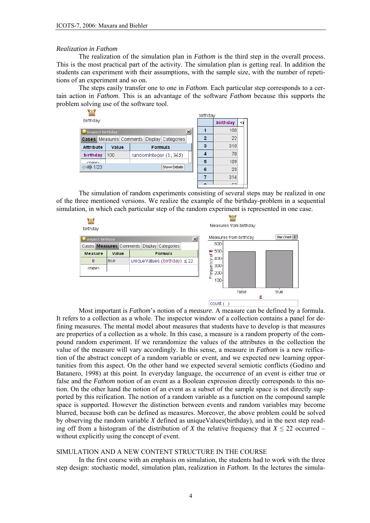#### *Realization in Fathom*

The realization of the simulation plan in *Fathom* is the third step in the overall process. This is the most practical part of the activity. The simulation plan is getting real. In addition the students can experiment with their assumptions, with the sample size, with the number of repetitions of an experiment and so on.

 The steps easily transfer one to one in *Fathom*. Each particular step corresponds to a certain action in *Fathom*. This is an advantage of the software *Fathom* because this supports the problem solving use of the software tool.

| $\mathcal{L}$ and $\mathcal{L}$               |                                                    |       |  |                        |         |              |                | birthday |          |  |  |
|-----------------------------------------------|----------------------------------------------------|-------|--|------------------------|---------|--------------|----------------|----------|----------|--|--|
| birthday                                      |                                                    |       |  |                        |         |              |                |          | birthday |  |  |
| $\mathbf{x}$<br><sup>1</sup> Inspect birthday |                                                    |       |  |                        |         |              |                |          | 100      |  |  |
|                                               | Cases   Measures   Comments   Display   Categories |       |  |                        |         |              | $\overline{2}$ | 22       |          |  |  |
| <b>Attribute</b>                              |                                                    | Value |  |                        | Formula |              |                | 3        | 310      |  |  |
| birthday                                      |                                                    | 100   |  | randominteger (1; 365) |         |              |                | 78       |          |  |  |
| $\n  -$ nows                                  |                                                    |       |  |                        |         |              |                | 5        | 109      |  |  |
| $= 1/23$                                      |                                                    |       |  |                        |         | Show Details |                | 6        | 23       |  |  |
|                                               |                                                    |       |  |                        |         |              |                |          | 314      |  |  |
|                                               |                                                    |       |  |                        |         |              |                |          |          |  |  |

The simulation of random experiments consisting of several steps may be realized in one of the three mentioned versions. We realize the example of the birthday-problem in a sequential simulation, in which each particular step of the random experiment is represented in one case.



Most important is *Fathom*'s notion of a *measure*. A measure can be defined by a formula. It refers to a collection as a whole. The inspector window of a collection contains a panel for defining measures. The mental model about measures that students have to develop is that measures are properties of a collection as a whole. In this case, a measure is a random property of the compound random experiment. If we rerandomize the values of the attributes in the collection the value of the measure will vary accordingly. In this sense, a measure in *Fathom* is a new reification of the abstract concept of a random variable or event, and we expected new learning opportunities from this aspect. On the other hand we expected several semiotic conflicts (Godino and Batanero, 1998) at this point. In everyday language, the occurrence of an event is either true or false and the *Fathom* notion of an event as a Boolean expression directly corresponds to this notion. On the other hand the notion of an event as a subset of the sample space is not directly supported by this reification. The notion of a random variable as a function on the compound sample space is supported. However the distinction between events and random variables may become blurred, because both can be defined as measures. Moreover, the above problem could be solved by observing the random variable *X* defined as uniqueValues(birthday), and in the next step reading off from a histogram of the distribution of *X* the relative frequency that  $X \le 22$  occurred – without explicitly using the concept of event.

## SIMULATION AND A NEW CONTENT STRUCTURE IN THE COURSE

In the first course with an emphasis on simulation, the students had to work with the three step design: stochastic model, simulation plan, realization in *Fathom*. In the lectures the simula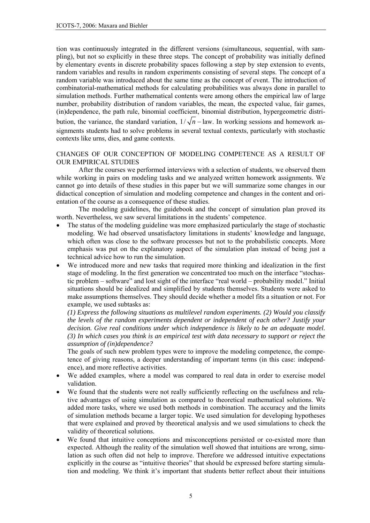tion was continuously integrated in the different versions (simultaneous, sequential, with sampling), but not so explicitly in these three steps. The concept of probability was initially defined by elementary events in discrete probability spaces following a step by step extension to events, random variables and results in random experiments consisting of several steps. The concept of a random variable was introduced about the same time as the concept of event. The introduction of combinatorial-mathematical methods for calculating probabilities was always done in parallel to simulation methods. Further mathematical contents were among others the empirical law of large number, probability distribution of random variables, the mean, the expected value, fair games, (in)dependence, the path rule, binomial coefficient, binomial distribution, hypergeometric distribution, the variance, the standard variation,  $1/\sqrt{n}$  – law. In working sessions and homework assignments students had to solve problems in several textual contexts, particularly with stochastic contexts like urns, dies, and game contexts.

# CHANGES OF OUR CONCEPTION OF MODELING COMPETENCE AS A RESULT OF OUR EMPIRICAL STUDIES

After the courses we performed interviews with a selection of students, we observed them while working in pairs on modeling tasks and we analyzed written homework assignments. We cannot go into details of these studies in this paper but we will summarize some changes in our didactical conception of simulation and modeling competence and changes in the content and orientation of the course as a consequence of these studies.

The modeling guidelines, the guidebook and the concept of simulation plan proved its worth. Nevertheless, we saw several limitations in the students' competence.

- The status of the modeling guideline was more emphasized particularly the stage of stochastic modeling. We had observed unsatisfactory limitations in students' knowledge and language, which often was close to the software processes but not to the probabilistic concepts. More emphasis was put on the explanatory aspect of the simulation plan instead of being just a technical advice how to run the simulation.
- We introduced more and new tasks that required more thinking and idealization in the first stage of modeling. In the first generation we concentrated too much on the interface "stochastic problem – software" and lost sight of the interface "real world – probability model." Initial situations should be idealized and simplified by students themselves. Students were asked to make assumptions themselves. They should decide whether a model fits a situation or not. For example, we used subtasks as:

*(1) Express the following situations as multilevel random experiments. (2) Would you classify the levels of the random experiments dependent or independent of each other? Justify your decision. Give real conditions under which independence is likely to be an adequate model. (3) In which cases you think is an empirical test with data necessary to support or reject the assumption of (in)dependence?* 

The goals of such new problem types were to improve the modeling competence, the competence of giving reasons, a deeper understanding of important terms (in this case: independence), and more reflective activities.

- We added examples, where a model was compared to real data in order to exercise model validation.
- We found that the students were not really sufficiently reflecting on the usefulness and relative advantages of using simulation as compared to theoretical mathematical solutions. We added more tasks, where we used both methods in combination. The accuracy and the limits of simulation methods became a larger topic. We used simulation for developing hypotheses that were explained and proved by theoretical analysis and we used simulations to check the validity of theoretical solutions.
- We found that intuitive conceptions and misconceptions persisted or co-existed more than expected. Although the reality of the simulation well showed that intuitions are wrong, simulation as such often did not help to improve. Therefore we addressed intuitive expectations explicitly in the course as "intuitive theories" that should be expressed before starting simulation and modeling. We think it's important that students better reflect about their intuitions